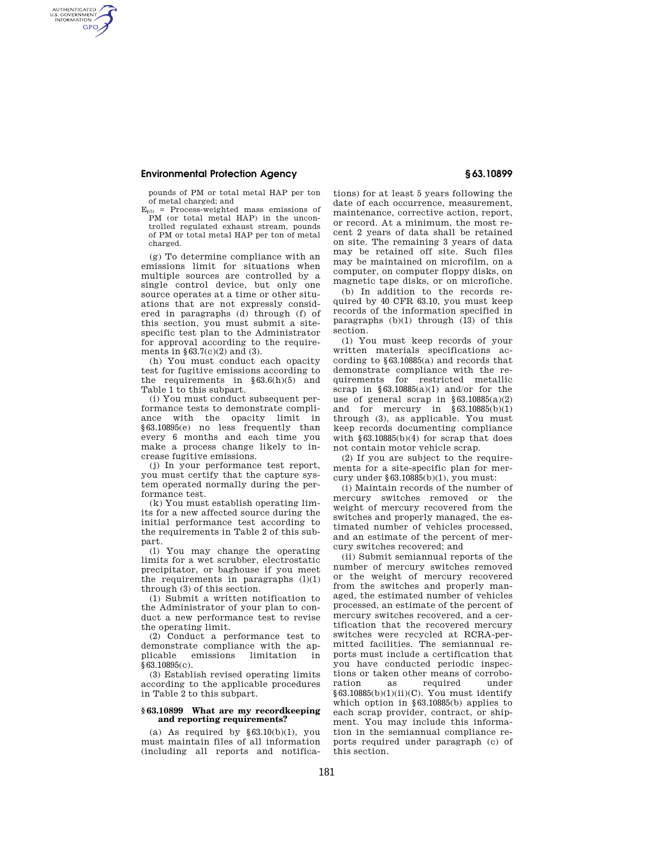# **Environmental Protection Agency § 63.10899**

AUTHENTICATED<br>U.S. GOVERNMENT<br>INFORMATION **GPO** 

> pounds of PM or total metal HAP per ton of metal charged; and

 $E_{p1i}$  = Process-weighted mass emissions of PM (or total metal HAP) in the uncontrolled regulated exhaust stream, pounds of PM or total metal HAP per ton of metal charged.

(g) To determine compliance with an emissions limit for situations when multiple sources are controlled by a single control device, but only one source operates at a time or other situations that are not expressly considered in paragraphs (d) through (f) of this section, you must submit a sitespecific test plan to the Administrator for approval according to the requirements in  $§63.7(c)(2)$  and (3).

(h) You must conduct each opacity test for fugitive emissions according to the requirements in  $§63.6(h)(5)$  and Table 1 to this subpart.

(i) You must conduct subsequent performance tests to demonstrate compliance with the opacity limit in §63.10895(e) no less frequently than every 6 months and each time you make a process change likely to increase fugitive emissions.

(j) In your performance test report, you must certify that the capture system operated normally during the performance test.

(k) You must establish operating limits for a new affected source during the initial performance test according to the requirements in Table 2 of this subpart.

(l) You may change the operating limits for a wet scrubber, electrostatic precipitator, or baghouse if you meet the requirements in paragraphs  $(l)(1)$ through (3) of this section.

(1) Submit a written notification to the Administrator of your plan to conduct a new performance test to revise the operating limit.

(2) Conduct a performance test to demonstrate compliance with the applicable emissions limitation in  $§63.10895(c).$ 

(3) Establish revised operating limits according to the applicable procedures in Table 2 to this subpart.

#### **§ 63.10899 What are my recordkeeping and reporting requirements?**

(a) As required by  $§63.10(b)(1)$ , you must maintain files of all information (including all reports and notifications) for at least 5 years following the date of each occurrence, measurement, maintenance, corrective action, report, or record. At a minimum, the most recent 2 years of data shall be retained on site. The remaining 3 years of data may be retained off site. Such files may be maintained on microfilm, on a computer, on computer floppy disks, on magnetic tape disks, or on microfiche.

(b) In addition to the records required by 40 CFR 63.10, you must keep records of the information specified in paragraphs  $(b)(1)$  through  $(13)$  of this section.

(1) You must keep records of your written materials specifications according to §63.10885(a) and records that demonstrate compliance with the requirements for restricted metallic scrap in  $§63.10885(a)(1)$  and/or for the use of general scrap in §63.10885(a)(2) and for mercury in §63.10885(b)(1) through (3), as applicable. You must keep records documenting compliance with  $§63.10885(b)(4)$  for scrap that does not contain motor vehicle scrap.

(2) If you are subject to the requirements for a site-specific plan for mercury under §63.10885(b)(1), you must:

(i) Maintain records of the number of mercury switches removed or the weight of mercury recovered from the switches and properly managed, the estimated number of vehicles processed, and an estimate of the percent of mercury switches recovered; and

(ii) Submit semiannual reports of the number of mercury switches removed or the weight of mercury recovered from the switches and properly managed, the estimated number of vehicles processed, an estimate of the percent of mercury switches recovered, and a certification that the recovered mercury switches were recycled at RCRA-permitted facilities. The semiannual reports must include a certification that you have conducted periodic inspections or taken other means of corroboration as required under §63.10885(b)(1)(ii)(C). You must identify which option in §63.10885(b) applies to each scrap provider, contract, or shipment. You may include this information in the semiannual compliance reports required under paragraph (c) of this section.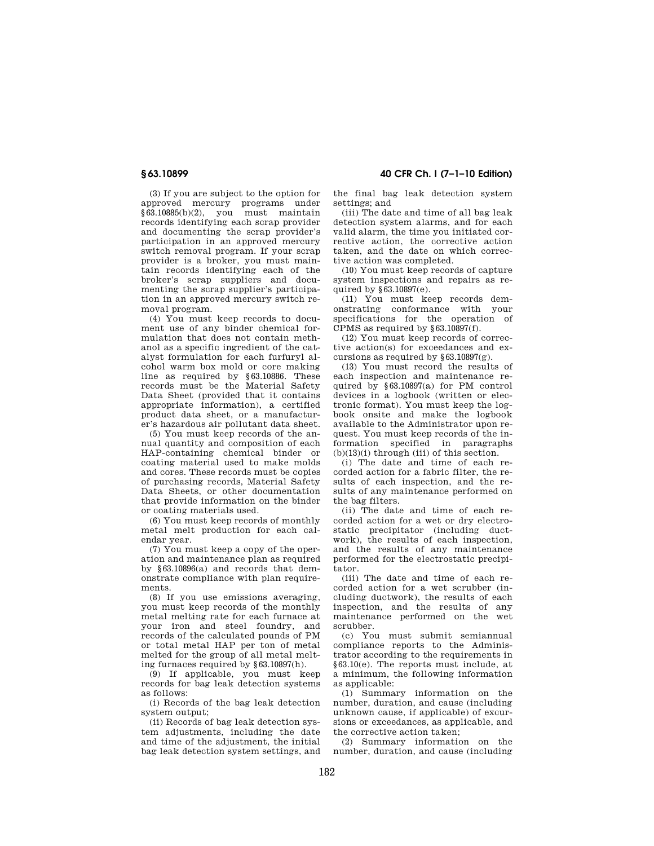(3) If you are subject to the option for approved mercury programs under §63.10885(b)(2), you must maintain records identifying each scrap provider and documenting the scrap provider's participation in an approved mercury switch removal program. If your scrap provider is a broker, you must maintain records identifying each of the broker's scrap suppliers and documenting the scrap supplier's participation in an approved mercury switch removal program.

(4) You must keep records to document use of any binder chemical formulation that does not contain methanol as a specific ingredient of the catalyst formulation for each furfuryl alcohol warm box mold or core making line as required by §63.10886. These records must be the Material Safety Data Sheet (provided that it contains appropriate information), a certified product data sheet, or a manufacturer's hazardous air pollutant data sheet.

(5) You must keep records of the annual quantity and composition of each HAP-containing chemical binder or coating material used to make molds and cores. These records must be copies of purchasing records, Material Safety Data Sheets, or other documentation that provide information on the binder or coating materials used.

(6) You must keep records of monthly metal melt production for each calendar year.

(7) You must keep a copy of the operation and maintenance plan as required by §63.10896(a) and records that demonstrate compliance with plan requirements.

(8) If you use emissions averaging, you must keep records of the monthly metal melting rate for each furnace at your iron and steel foundry, and records of the calculated pounds of PM or total metal HAP per ton of metal melted for the group of all metal melting furnaces required by §63.10897(h).

(9) If applicable, you must keep records for bag leak detection systems as follows:

(i) Records of the bag leak detection system output:

(ii) Records of bag leak detection system adjustments, including the date and time of the adjustment, the initial bag leak detection system settings, and

**§ 63.10899 40 CFR Ch. I (7–1–10 Edition)** 

the final bag leak detection system settings; and

(iii) The date and time of all bag leak detection system alarms, and for each valid alarm, the time you initiated corrective action, the corrective action taken, and the date on which corrective action was completed.

(10) You must keep records of capture system inspections and repairs as required by §63.10897(e).

(11) You must keep records demonstrating conformance with your specifications for the operation of  $CPMS$  as required by  $$63.10897(f)$ .

(12) You must keep records of corrective action(s) for exceedances and excursions as required by  $\S 63.10897(g)$ .

(13) You must record the results of each inspection and maintenance required by §63.10897(a) for PM control devices in a logbook (written or electronic format). You must keep the logbook onsite and make the logbook available to the Administrator upon request. You must keep records of the information specified in paragraphs (b)(13)(i) through (iii) of this section.

(i) The date and time of each recorded action for a fabric filter, the results of each inspection, and the results of any maintenance performed on the bag filters.

(ii) The date and time of each recorded action for a wet or dry electrostatic precipitator (including ductwork), the results of each inspection. and the results of any maintenance performed for the electrostatic precipitator.

(iii) The date and time of each recorded action for a wet scrubber (including ductwork), the results of each inspection, and the results of any maintenance performed on the wet scrubber.

(c) You must submit semiannual compliance reports to the Administrator according to the requirements in §63.10(e). The reports must include, at a minimum, the following information as applicable:

(1) Summary information on the number, duration, and cause (including unknown cause, if applicable) of excursions or exceedances, as applicable, and the corrective action taken;

(2) Summary information on the number, duration, and cause (including